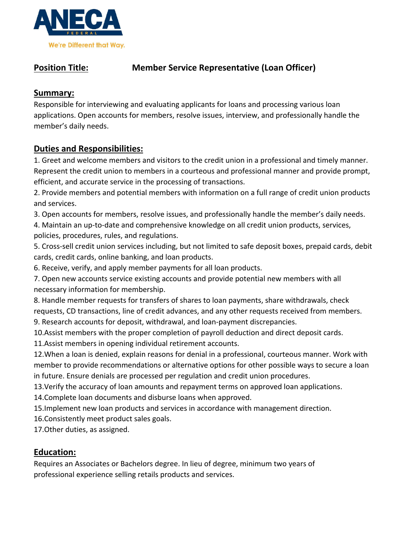

# **Position Title: Member Service Representative (Loan Officer)**

## **Summary:**

Responsible for interviewing and evaluating applicants for loans and processing various loan applications. Open accounts for members, resolve issues, interview, and professionally handle the member's daily needs.

# **Duties and Responsibilities:**

1. Greet and welcome members and visitors to the credit union in a professional and timely manner. Represent the credit union to members in a courteous and professional manner and provide prompt, efficient, and accurate service in the processing of transactions.

2. Provide members and potential members with information on a full range of credit union products and services.

3. Open accounts for members, resolve issues, and professionally handle the member's daily needs.

4. Maintain an up-to-date and comprehensive knowledge on all credit union products, services, policies, procedures, rules, and regulations.

5. Cross-sell credit union services including, but not limited to safe deposit boxes, prepaid cards, debit cards, credit cards, online banking, and loan products.

6. Receive, verify, and apply member payments for all loan products.

7. Open new accounts service existing accounts and provide potential new members with all necessary information for membership.

8. Handle member requests for transfers of shares to loan payments, share withdrawals, check requests, CD transactions, line of credit advances, and any other requests received from members. 9. Research accounts for deposit, withdrawal, and loan-payment discrepancies.

10.Assist members with the proper completion of payroll deduction and direct deposit cards.

11.Assist members in opening individual retirement accounts.

12.When a loan is denied, explain reasons for denial in a professional, courteous manner. Work with member to provide recommendations or alternative options for other possible ways to secure a loan in future. Ensure denials are processed per regulation and credit union procedures.

13.Verify the accuracy of loan amounts and repayment terms on approved loan applications.

14.Complete loan documents and disburse loans when approved.

15.Implement new loan products and services in accordance with management direction.

16.Consistently meet product sales goals.

17.Other duties, as assigned.

## **Education:**

Requires an Associates or Bachelors degree. In lieu of degree, minimum two years of professional experience selling retails products and services.